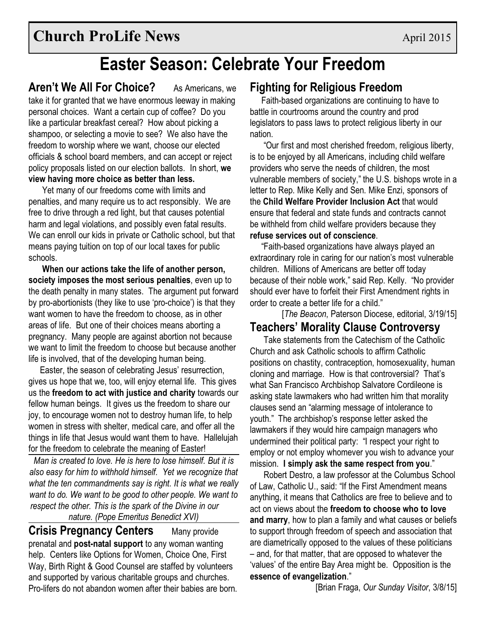# **Easter Season: Celebrate Your Freedom**

**Aren't We All For Choice?** As Americans, we take it for granted that we have enormous leeway in making personal choices. Want a certain cup of coffee? Do you like a particular breakfast cereal? How about picking a shampoo, or selecting a movie to see? We also have the freedom to worship where we want, choose our elected officials & school board members, and can accept or reject policy proposals listed on our election ballots. In short, **we view having more choice as better than less.**

Yet many of our freedoms come with limits and penalties, and many require us to act responsibly. We are free to drive through a red light, but that causes potential harm and legal violations, and possibly even fatal results. We can enroll our kids in private or Catholic school, but that means paying tuition on top of our local taxes for public schools.

**When our actions take the life of another person, society imposes the most serious penalties**, even up to the death penalty in many states. The argument put forward by pro-abortionists (they like to use 'pro-choice') is that they want women to have the freedom to choose, as in other areas of life. But one of their choices means aborting a pregnancy. Many people are against abortion not because we want to limit the freedom to choose but because another life is involved, that of the developing human being.

Easter, the season of celebrating Jesus' resurrection, gives us hope that we, too, will enjoy eternal life. This gives us the **freedom to act with justice and charity** towards our fellow human beings. It gives us the freedom to share our joy, to encourage women not to destroy human life, to help women in stress with shelter, medical care, and offer all the things in life that Jesus would want them to have. Hallelujah for the freedom to celebrate the meaning of Easter!

*Man is created to love. He is here to lose himself. But it is also easy for him to withhold himself. Yet we recognize that what the ten commandments say is right. It is what we really want to do. We want to be good to other people. We want to respect the other. This is the spark of the Divine in our* 

*nature. (Pope Emeritus Benedict XVI)*

**Crisis Pregnancy Centers** Many provide prenatal and **post-natal support** to any woman wanting help. Centers like Options for Women, Choice One, First Way, Birth Right & Good Counsel are staffed by volunteers and supported by various charitable groups and churches. Pro-lifers do not abandon women after their babies are born.

## **Fighting for Religious Freedom**

Faith-based organizations are continuing to have to battle in courtrooms around the country and prod legislators to pass laws to protect religious liberty in our nation.

"Our first and most cherished freedom, religious liberty, is to be enjoyed by all Americans, including child welfare providers who serve the needs of children, the most vulnerable members of society," the U.S. bishops wrote in a letter to Rep. Mike Kelly and Sen. Mike Enzi, sponsors of the **Child Welfare Provider Inclusion Act** that would ensure that federal and state funds and contracts cannot be withheld from child welfare providers because they **refuse services out of conscience**.

"Faith-based organizations have always played an extraordinary role in caring for our nation's most vulnerable children. Millions of Americans are better off today because of their noble work," said Rep. Kelly. "No provider should ever have to forfeit their First Amendment rights in order to create a better life for a child."

[*The Beacon*, Paterson Diocese, editorial, 3/19/15]

### **Teachers' Morality Clause Controversy**

Take statements from the Catechism of the Catholic Church and ask Catholic schools to affirm Catholic positions on chastity, contraception, homosexuality, human cloning and marriage. How is that controversial? That's what San Francisco Archbishop Salvatore Cordileone is asking state lawmakers who had written him that morality clauses send an "alarming message of intolerance to youth." The archbishop's response letter asked the lawmakers if they would hire campaign managers who undermined their political party: "I respect your right to employ or not employ whomever you wish to advance your mission. **I simply ask the same respect from you**."

Robert Destro, a law professor at the Columbus School of Law, Catholic U., said: "If the First Amendment means anything, it means that Catholics are free to believe and to act on views about the **freedom to choose who to love and marry**, how to plan a family and what causes or beliefs to support through freedom of speech and association that are diametrically opposed to the values of these politicians – and, for that matter, that are opposed to whatever the 'values' of the entire Bay Area might be. Opposition is the **essence of evangelization**."

[Brian Fraga, *Our Sunday Visitor*, 3/8/15]